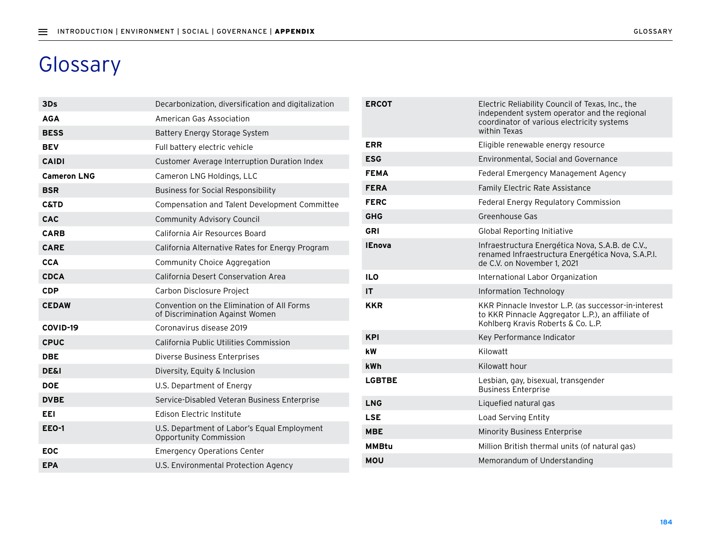## Glossary

| 3Ds                | Decarbonization, diversification and digitalization                           |
|--------------------|-------------------------------------------------------------------------------|
| <b>AGA</b>         | American Gas Association                                                      |
| <b>BESS</b>        | Battery Energy Storage System                                                 |
| <b>BEV</b>         | Full battery electric vehicle                                                 |
| <b>CAIDI</b>       | Customer Average Interruption Duration Index                                  |
| <b>Cameron LNG</b> | Cameron LNG Holdings, LLC                                                     |
| <b>BSR</b>         | <b>Business for Social Responsibility</b>                                     |
| <b>C&amp;TD</b>    | Compensation and Talent Development Committee                                 |
| CAC                | <b>Community Advisory Council</b>                                             |
| <b>CARB</b>        | California Air Resources Board                                                |
| <b>CARE</b>        | California Alternative Rates for Energy Program                               |
| <b>CCA</b>         | Community Choice Aggregation                                                  |
| <b>CDCA</b>        | California Desert Conservation Area                                           |
|                    |                                                                               |
| <b>CDP</b>         | Carbon Disclosure Project                                                     |
| <b>CEDAW</b>       | Convention on the Elimination of All Forms<br>of Discrimination Against Women |
| COVID-19           | Coronavirus disease 2019                                                      |
| <b>CPUC</b>        | California Public Utilities Commission                                        |
| <b>DBE</b>         | Diverse Business Enterprises                                                  |
| <b>DE&amp;I</b>    | Diversity, Equity & Inclusion                                                 |
| <b>DOE</b>         | U.S. Department of Energy                                                     |
| <b>DVBE</b>        | Service-Disabled Veteran Business Enterprise                                  |
| EEI                | Edison Electric Institute                                                     |
| <b>EEO-1</b>       | U.S. Department of Labor's Equal Employment<br>Opportunity Commission         |
| <b>EOC</b>         | <b>Emergency Operations Center</b>                                            |

| <b>ERCOT</b>  | Electric Reliability Council of Texas, Inc., the<br>independent system operator and the regional<br>coordinator of various electricity systems<br>within Texas |
|---------------|----------------------------------------------------------------------------------------------------------------------------------------------------------------|
| <b>ERR</b>    | Eligible renewable energy resource                                                                                                                             |
| <b>ESG</b>    | Environmental, Social and Governance                                                                                                                           |
| <b>FEMA</b>   | Federal Emergency Management Agency                                                                                                                            |
| <b>FERA</b>   | Family Electric Rate Assistance                                                                                                                                |
| <b>FERC</b>   | Federal Energy Regulatory Commission                                                                                                                           |
| <b>GHG</b>    | Greenhouse Gas                                                                                                                                                 |
| GRI           | <b>Global Reporting Initiative</b>                                                                                                                             |
| <b>IEnova</b> | Infraestructura Energética Nova, S.A.B. de C.V.,<br>renamed Infraestructura Energética Nova, S.A.P.I.<br>de C.V. on November 1, 2021                           |
| <b>ILO</b>    | International Labor Organization                                                                                                                               |
| ΙT            | Information Technology                                                                                                                                         |
| KKR           | KKR Pinnacle Investor L.P. (as successor-in-interest<br>to KKR Pinnacle Aggregator L.P.), an affiliate of<br>Kohlberg Kravis Roberts & Co. L.P.                |
| <b>KPI</b>    | Key Performance Indicator                                                                                                                                      |
| kW            | Kilowatt                                                                                                                                                       |
| kWh           | Kilowatt hour                                                                                                                                                  |
| <b>LGBTBE</b> | Lesbian, gay, bisexual, transgender<br><b>Business Enterprise</b>                                                                                              |
| <b>LNG</b>    | Liquefied natural gas                                                                                                                                          |
| LSE           | Load Serving Entity                                                                                                                                            |
| <b>MBE</b>    | Minority Business Enterprise                                                                                                                                   |
| MMBtu         | Million British thermal units (of natural gas)                                                                                                                 |
| MOU           | Memorandum of Understanding                                                                                                                                    |